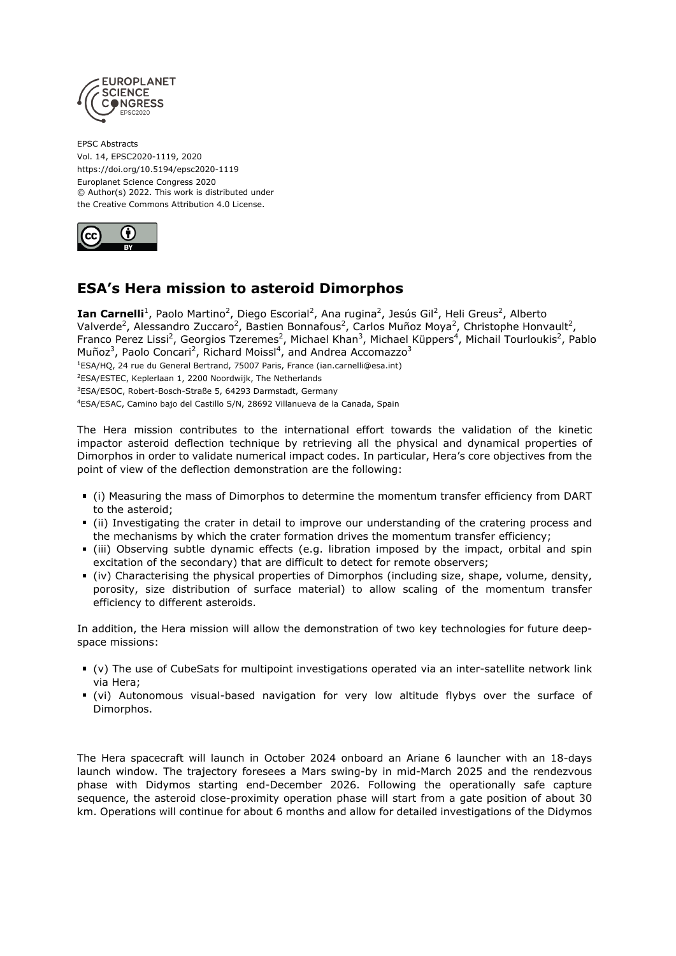

EPSC Abstracts Vol. 14, EPSC2020-1119, 2020 https://doi.org/10.5194/epsc2020-1119 Europlanet Science Congress 2020 © Author(s) 2022. This work is distributed under the Creative Commons Attribution 4.0 License.



## **ESA's Hera mission to asteroid Dimorphos**

**Ian Carnelli**<sup>1</sup>, Paolo Martino<sup>2</sup>, Diego Escorial<sup>2</sup>, Ana rugina<sup>2</sup>, Jesús Gil<sup>2</sup>, Heli Greus<sup>2</sup>, Alberto Valverde<sup>2</sup>, Alessandro Zuccaro<sup>2</sup>, Bastien Bonnafous<sup>2</sup>, Carlos Muñoz Moya<sup>2</sup>, Christophe Honvault<sup>2</sup>, Franco Perez Lissi<sup>2</sup>, Georgios Tzeremes<sup>2</sup>, Michael Khan<sup>3</sup>, Michael Küppers<sup>4</sup>, Michail Tourloukis<sup>2</sup>, Pablo Muñoz<sup>3</sup>, Paolo Concari<sup>2</sup>, Richard Moissl<sup>4</sup>, and Andrea Accomazzo<sup>3</sup> <sup>1</sup>ESA/HQ, 24 rue du General Bertrand, 75007 Paris, France (ian.carnelli@esa.int) <sup>2</sup>ESA/ESTEC, Keplerlaan 1, 2200 Noordwijk, The Netherlands <sup>3</sup>ESA/ESOC, Robert-Bosch-Straße 5, 64293 Darmstadt, Germany <sup>4</sup>ESA/ESAC, Camino bajo del Castillo S/N, 28692 Villanueva de la Canada, Spain

The Hera mission contributes to the international effort towards the validation of the kinetic impactor asteroid deflection technique by retrieving all the physical and dynamical properties of Dimorphos in order to validate numerical impact codes. In particular, Hera's core objectives from the point of view of the deflection demonstration are the following:

- (i) Measuring the mass of Dimorphos to determine the momentum transfer efficiency from DART to the asteroid;
- (ii) Investigating the crater in detail to improve our understanding of the cratering process and the mechanisms by which the crater formation drives the momentum transfer efficiency;
- (iii) Observing subtle dynamic effects (e.g. libration imposed by the impact, orbital and spin excitation of the secondary) that are difficult to detect for remote observers;
- (iv) Characterising the physical properties of Dimorphos (including size, shape, volume, density, porosity, size distribution of surface material) to allow scaling of the momentum transfer efficiency to different asteroids.

In addition, the Hera mission will allow the demonstration of two key technologies for future deepspace missions:

- (v) The use of CubeSats for multipoint investigations operated via an inter-satellite network link via Hera;
- (vi) Autonomous visual-based navigation for very low altitude flybys over the surface of Dimorphos.

The Hera spacecraft will launch in October 2024 onboard an Ariane 6 launcher with an 18-days launch window. The trajectory foresees a Mars swing-by in mid-March 2025 and the rendezvous phase with Didymos starting end-December 2026. Following the operationally safe capture sequence, the asteroid close-proximity operation phase will start from a gate position of about 30 km. Operations will continue for about 6 months and allow for detailed investigations of the Didymos